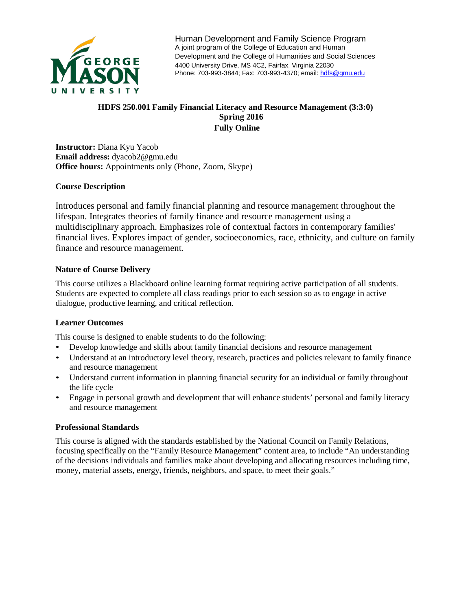

Human Development and Family Science Program A joint program of the College of Education and Human Development and the College of Humanities and Social Sciences 4400 University Drive, MS 4C2, Fairfax, Virginia 22030 Phone: 703-993-3844; Fax: 703-993-4370; email[: hdfs@gmu.edu](mailto:hdfs@gmu.edu)

## **HDFS 250.001 Family Financial Literacy and Resource Management (3:3:0) Spring 2016 Fully Online**

**Instructor:** Diana Kyu Yacob **Email address:** dyacob2@gmu.edu **Office hours:** Appointments only (Phone, Zoom, Skype)

### **Course Description**

Introduces personal and family financial planning and resource management throughout the lifespan. Integrates theories of family finance and resource management using a multidisciplinary approach. Emphasizes role of contextual factors in contemporary families' financial lives. Explores impact of gender, socioeconomics, race, ethnicity, and culture on family finance and resource management.

## **Nature of Course Delivery**

This course utilizes a Blackboard online learning format requiring active participation of all students. Students are expected to complete all class readings prior to each session so as to engage in active dialogue, productive learning, and critical reflection.

### **Learner Outcomes**

This course is designed to enable students to do the following:

- Develop knowledge and skills about family financial decisions and resource management
- Understand at an introductory level theory, research, practices and policies relevant to family finance and resource management
- Understand current information in planning financial security for an individual or family throughout the life cycle
- Engage in personal growth and development that will enhance students' personal and family literacy and resource management

### **Professional Standards**

This course is aligned with the standards established by the National Council on Family Relations, focusing specifically on the "Family Resource Management" content area, to include "An understanding of the decisions individuals and families make about developing and allocating resources including time, money, material assets, energy, friends, neighbors, and space, to meet their goals."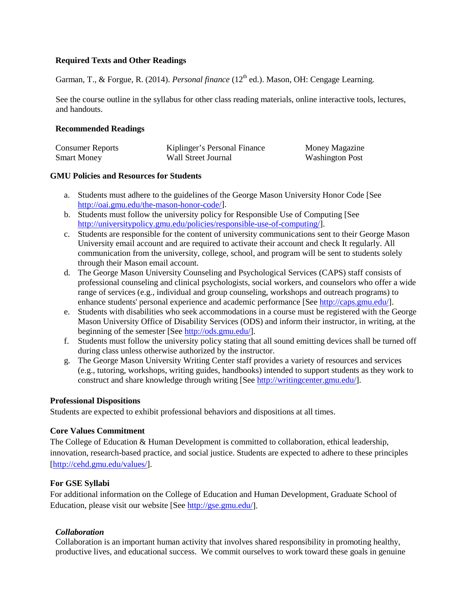### **Required Texts and Other Readings**

Garman, T., & Forgue, R. (2014). *Personal finance* (12<sup>th</sup> ed.). Mason, OH: Cengage Learning.

See the course outline in the syllabus for other class reading materials, online interactive tools, lectures, and handouts.

### **Recommended Readings**

| <b>Consumer Reports</b> | Kiplinger's Personal Finance | Money Magazine         |
|-------------------------|------------------------------|------------------------|
| <b>Smart Money</b>      | Wall Street Journal          | <b>Washington Post</b> |

### **GMU Policies and Resources for Students**

- a. Students must adhere to the guidelines of the George Mason University Honor Code [See [http://oai.gmu.edu/the-mason-honor-code/\]](http://oai.gmu.edu/the-mason-honor-code/).
- b. Students must follow the university policy for Responsible Use of Computing [See [http://universitypolicy.gmu.edu/policies/responsible-use-of-computing/\]](http://universitypolicy.gmu.edu/policies/responsible-use-of-computing/).
- c. Students are responsible for the content of university communications sent to their George Mason University email account and are required to activate their account and check It regularly. All communication from the university, college, school, and program will be sent to students solely through their Mason email account.
- d. The George Mason University Counseling and Psychological Services (CAPS) staff consists of professional counseling and clinical psychologists, social workers, and counselors who offer a wide range of services (e.g., individual and group counseling, workshops and outreach programs) to enhance students' personal experience and academic performance [Se[e http://caps.gmu.edu/\]](http://caps.gmu.edu/).
- e. Students with disabilities who seek accommodations in a course must be registered with the George Mason University Office of Disability Services (ODS) and inform their instructor, in writing, at the beginning of the semester [See [http://ods.gmu.edu/\]](http://ods.gmu.edu/).
- f. Students must follow the university policy stating that all sound emitting devices shall be turned off during class unless otherwise authorized by the instructor.
- g. The George Mason University Writing Center staff provides a variety of resources and services (e.g., tutoring, workshops, writing guides, handbooks) intended to support students as they work to construct and share knowledge through writing [See [http://writingcenter.gmu.edu/\]](http://writingcenter.gmu.edu/).

### **Professional Dispositions**

Students are expected to exhibit professional behaviors and dispositions at all times.

## **Core Values Commitment**

The College of Education & Human Development is committed to collaboration, ethical leadership, innovation, research-based practice, and social justice. Students are expected to adhere to these principles [\[http://cehd.gmu.edu/values/\]](http://cehd.gmu.edu/values/).

## **For GSE Syllabi**

For additional information on the College of Education and Human Development, Graduate School of Education, please visit our website [See [http://gse.gmu.edu/\]](http://gse.gmu.edu/).

## *Collaboration*

Collaboration is an important human activity that involves shared responsibility in promoting healthy, productive lives, and educational success. We commit ourselves to work toward these goals in genuine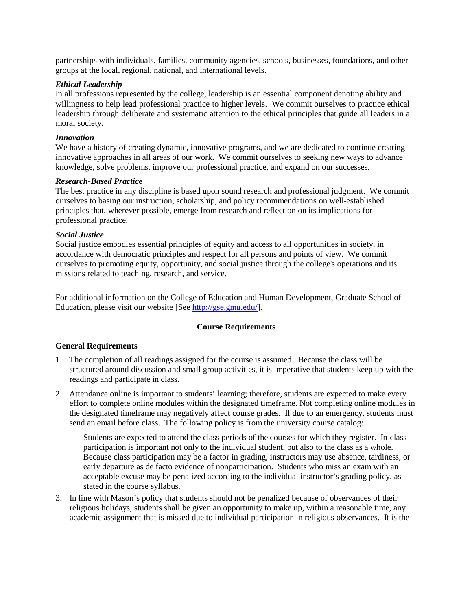partnerships with individuals, families, community agencies, schools, businesses, foundations, and other groups at the local, regional, national, and international levels.

#### *Ethical Leadership*

In all professions represented by the college, leadership is an essential component denoting ability and willingness to help lead professional practice to higher levels. We commit ourselves to practice ethical leadership through deliberate and systematic attention to the ethical principles that guide all leaders in a moral society.

#### *Innovation*

We have a history of creating dynamic, innovative programs, and we are dedicated to continue creating innovative approaches in all areas of our work. We commit ourselves to seeking new ways to advance knowledge, solve problems, improve our professional practice, and expand on our successes.

#### *Research-Based Practice*

The best practice in any discipline is based upon sound research and professional judgment. We commit ourselves to basing our instruction, scholarship, and policy recommendations on well-established principles that, wherever possible, emerge from research and reflection on its implications for professional practice.

#### *Social Justice*

Social justice embodies essential principles of equity and access to all opportunities in society, in accordance with democratic principles and respect for all persons and points of view. We commit ourselves to promoting equity, opportunity, and social justice through the college's operations and its missions related to teaching, research, and service.

For additional information on the College of Education and Human Development, Graduate School of Education, please visit our website [See [http://gse.gmu.edu/\]](http://gse.gmu.edu/).

#### **Course Requirements**

### **General Requirements**

- 1. The completion of all readings assigned for the course is assumed. Because the class will be structured around discussion and small group activities, it is imperative that students keep up with the readings and participate in class.
- 2. Attendance online is important to students' learning; therefore, students are expected to make every effort to complete online modules within the designated timeframe. Not completing online modules in the designated timeframe may negatively affect course grades. If due to an emergency, students must send an email before class. The following policy is from the university course catalog:

Students are expected to attend the class periods of the courses for which they register. In-class participation is important not only to the individual student, but also to the class as a whole. Because class participation may be a factor in grading, instructors may use absence, tardiness, or early departure as de facto evidence of nonparticipation. Students who miss an exam with an acceptable excuse may be penalized according to the individual instructor's grading policy, as stated in the course syllabus.

3. In line with Mason's policy that students should not be penalized because of observances of their religious holidays, students shall be given an opportunity to make up, within a reasonable time, any academic assignment that is missed due to individual participation in religious observances. It is the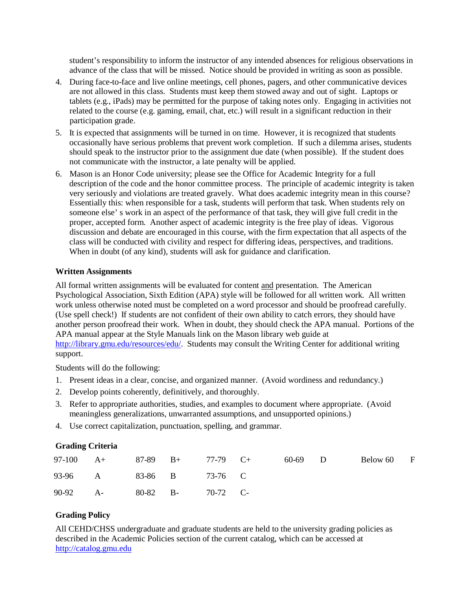student's responsibility to inform the instructor of any intended absences for religious observations in advance of the class that will be missed. Notice should be provided in writing as soon as possible.

- 4. During face-to-face and live online meetings, cell phones, pagers, and other communicative devices are not allowed in this class. Students must keep them stowed away and out of sight. Laptops or tablets (e.g., iPads) may be permitted for the purpose of taking notes only. Engaging in activities not related to the course (e.g. gaming, email, chat, etc.) will result in a significant reduction in their participation grade.
- 5. It is expected that assignments will be turned in on time. However, it is recognized that students occasionally have serious problems that prevent work completion. If such a dilemma arises, students should speak to the instructor prior to the assignment due date (when possible). If the student does not communicate with the instructor, a late penalty will be applied.
- 6. Mason is an Honor Code university; please see the Office for Academic Integrity for a full description of the code and the honor committee process. The principle of academic integrity is taken very seriously and violations are treated gravely. What does academic integrity mean in this course? Essentially this: when responsible for a task, students will perform that task. When students rely on someone else' s work in an aspect of the performance of that task, they will give full credit in the proper, accepted form. Another aspect of academic integrity is the free play of ideas. Vigorous discussion and debate are encouraged in this course, with the firm expectation that all aspects of the class will be conducted with civility and respect for differing ideas, perspectives, and traditions. When in doubt (of any kind), students will ask for guidance and clarification.

### **Written Assignments**

All formal written assignments will be evaluated for content and presentation. The American Psychological Association, Sixth Edition (APA) style will be followed for all written work. All written work unless otherwise noted must be completed on a word processor and should be proofread carefully. (Use spell check!) If students are not confident of their own ability to catch errors, they should have another person proofread their work. When in doubt, they should check the APA manual. Portions of the APA manual appear at the Style Manuals link on the Mason library web guide at [http://library.gmu.edu/resources/edu/.](http://library.gmu.edu/resources/edu/) Students may consult the Writing Center for additional writing support.

Students will do the following:

- 1. Present ideas in a clear, concise, and organized manner. (Avoid wordiness and redundancy.)
- 2. Develop points coherently, definitively, and thoroughly.
- 3. Refer to appropriate authorities, studies, and examples to document where appropriate. (Avoid meaningless generalizations, unwarranted assumptions, and unsupported opinions.)
- 4. Use correct capitalization, punctuation, spelling, and grammar.

## **Grading Criteria**

|          | 97-100 A+ 87-89 B+ 77-79 C+ |                   |  | 60-69 D | Below 60 F |  |
|----------|-----------------------------|-------------------|--|---------|------------|--|
|          | 93-96 A 83-86 B 73-76 C     |                   |  |         |            |  |
| 90-92 A- |                             | 80-82 B- 70-72 C- |  |         |            |  |

## **Grading Policy**

All CEHD/CHSS undergraduate and graduate students are held to the university grading policies as described in the Academic Policies section of the current catalog, which can be accessed at [http://catalog.gmu.edu](http://catalog.gmu.edu/)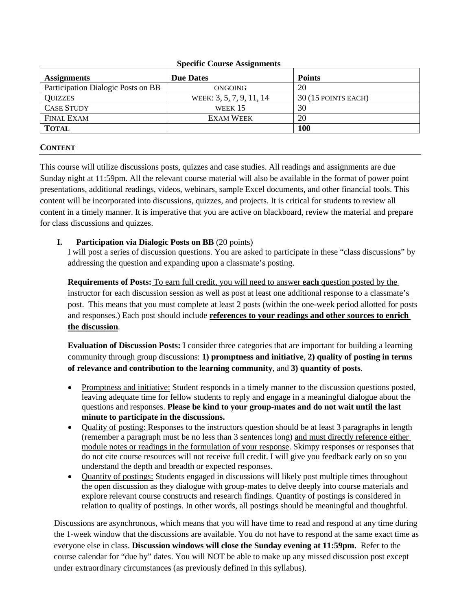| <b>Assignments</b>                 | Specific Course Assignments<br><b>Due Dates</b> | <b>Points</b>       |
|------------------------------------|-------------------------------------------------|---------------------|
| Participation Dialogic Posts on BB | ONGOING                                         | 20                  |
| <b>QUIZZES</b>                     | WEEK: 3, 5, 7, 9, 11, 14                        | 30 (15 POINTS EACH) |
| <b>CASE STUDY</b>                  | WEEK $15$                                       | 30                  |
| <b>FINAL EXAM</b>                  | <b>EXAM WEEK</b>                                | 20                  |
| <b>TOTAL</b>                       |                                                 | 100                 |

## **CONTENT**

This course will utilize discussions posts, quizzes and case studies. All readings and assignments are due Sunday night at 11:59pm. All the relevant course material will also be available in the format of power point presentations, additional readings, videos, webinars, sample Excel documents, and other financial tools. This content will be incorporated into discussions, quizzes, and projects. It is critical for students to review all content in a timely manner. It is imperative that you are active on blackboard, review the material and prepare for class discussions and quizzes.

## **I. Participation via Dialogic Posts on BB** (20 points)

I will post a series of discussion questions. You are asked to participate in these "class discussions" by addressing the question and expanding upon a classmate's posting.

**Requirements of Posts:** To earn full credit, you will need to answer **each** question posted by the instructor for each discussion session as well as post at least one additional response to a classmate's post. This means that you must complete at least 2 posts (within the one-week period allotted for posts and responses.) Each post should include **references to your readings and other sources to enrich the discussion**.

**Evaluation of Discussion Posts:** I consider three categories that are important for building a learning community through group discussions: **1) promptness and initiative**, **2) quality of posting in terms of relevance and contribution to the learning community**, and **3) quantity of posts**.

- Promptness and initiative: Student responds in a timely manner to the discussion questions posted, leaving adequate time for fellow students to reply and engage in a meaningful dialogue about the questions and responses. **Please be kind to your group-mates and do not wait until the last minute to participate in the discussions.**
- Quality of posting: Responses to the instructors question should be at least 3 paragraphs in length (remember a paragraph must be no less than 3 sentences long) and must directly reference either module notes or readings in the formulation of your response. Skimpy responses or responses that do not cite course resources will not receive full credit. I will give you feedback early on so you understand the depth and breadth or expected responses.
- Quantity of postings: Students engaged in discussions will likely post multiple times throughout the open discussion as they dialogue with group-mates to delve deeply into course materials and explore relevant course constructs and research findings. Quantity of postings is considered in relation to quality of postings. In other words, all postings should be meaningful and thoughtful.

Discussions are asynchronous, which means that you will have time to read and respond at any time during the 1-week window that the discussions are available. You do not have to respond at the same exact time as everyone else in class. **Discussion windows will close the Sunday evening at 11:59pm.** Refer to the course calendar for "due by" dates. You will NOT be able to make up any missed discussion post except under extraordinary circumstances (as previously defined in this syllabus).

# **Specific Course Assignments**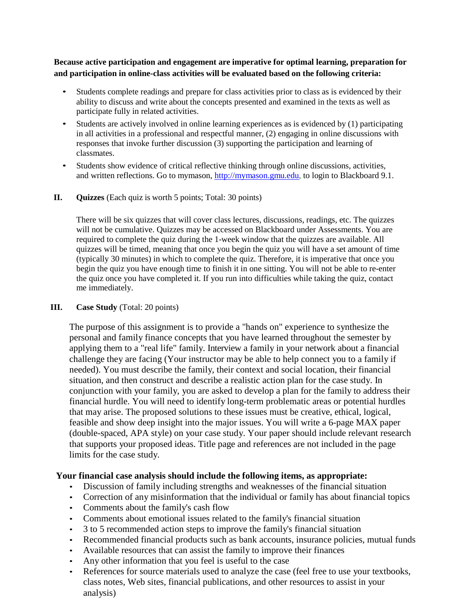**Because active participation and engagement are imperative for optimal learning, preparation for and participation in online-class activities will be evaluated based on the following criteria:**

- Students complete readings and prepare for class activities prior to class as is evidenced by their ability to discuss and write about the concepts presented and examined in the texts as well as participate fully in related activities.
- Students are actively involved in online learning experiences as is evidenced by (1) participating in all activities in a professional and respectful manner, (2) engaging in online discussions with responses that invoke further discussion (3) supporting the participation and learning of classmates.
- Students show evidence of critical reflective thinking through online discussions, activities, and written reflections. Go to mymason, [http://mymason.gmu.edu, t](http://mymason.gmu.edu/)o login to Blackboard 9.1.
- **II. Quizzes** (Each quiz is worth 5 points; Total: 30 points)

There will be six quizzes that will cover class lectures, discussions, readings, etc. The quizzes will not be cumulative. Quizzes may be accessed on Blackboard under Assessments. You are required to complete the quiz during the 1-week window that the quizzes are available. All quizzes will be timed, meaning that once you begin the quiz you will have a set amount of time (typically 30 minutes) in which to complete the quiz. Therefore, it is imperative that once you begin the quiz you have enough time to finish it in one sitting. You will not be able to re-enter the quiz once you have completed it. If you run into difficulties while taking the quiz, contact me immediately.

## **III. Case Study** (Total: 20 points)

The purpose of this assignment is to provide a "hands on" experience to synthesize the personal and family finance concepts that you have learned throughout the semester by applying them to a "real life" family. Interview a family in your network about a financial challenge they are facing (Your instructor may be able to help connect you to a family if needed). You must describe the family, their context and social location, their financial situation, and then construct and describe a realistic action plan for the case study. In conjunction with your family, you are asked to develop a plan for the family to address their financial hurdle. You will need to identify long-term problematic areas or potential hurdles that may arise. The proposed solutions to these issues must be creative, ethical, logical, feasible and show deep insight into the major issues. You will write a 6-page MAX paper (double-spaced, APA style) on your case study. Your paper should include relevant research that supports your proposed ideas. Title page and references are not included in the page limits for the case study.

## **Your financial case analysis should include the following items, as appropriate:**

- Discussion of family including strengths and weaknesses of the financial situation
- Correction of any misinformation that the individual or family has about financial topics
- Comments about the family's cash flow
- Comments about emotional issues related to the family's financial situation
- 3 to 5 recommended action steps to improve the family's financial situation
- Recommended financial products such as bank accounts, insurance policies, mutual funds
- Available resources that can assist the family to improve their finances
- Any other information that you feel is useful to the case
- References for source materials used to analyze the case (feel free to use your textbooks, class notes, Web sites, financial publications, and other resources to assist in your analysis)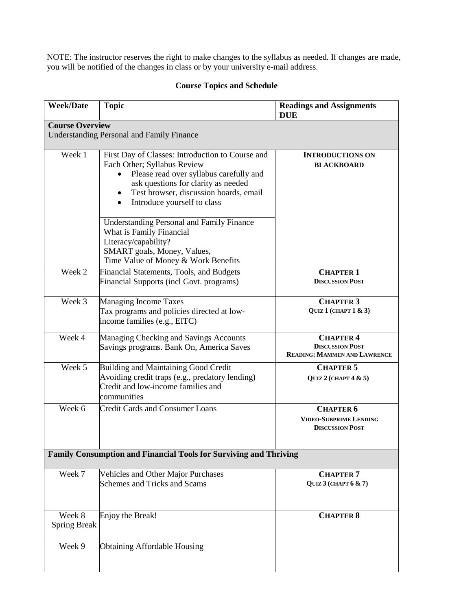NOTE: The instructor reserves the right to make changes to the syllabus as needed. If changes are made, you will be notified of the changes in class or by your university e-mail address.

# **Course Topics and Schedule**

| <b>Week/Date</b>              | <b>Topic</b>                                                                                                                                                                                                                                                         | <b>Readings and Assignments</b><br><b>DUE</b>                                     |
|-------------------------------|----------------------------------------------------------------------------------------------------------------------------------------------------------------------------------------------------------------------------------------------------------------------|-----------------------------------------------------------------------------------|
| <b>Course Overview</b>        |                                                                                                                                                                                                                                                                      |                                                                                   |
|                               | <b>Understanding Personal and Family Finance</b>                                                                                                                                                                                                                     |                                                                                   |
| Week 1                        | First Day of Classes: Introduction to Course and<br>Each Other; Syllabus Review<br>Please read over syllabus carefully and<br>ask questions for clarity as needed<br>Test browser, discussion boards, email<br>$\bullet$<br>Introduce yourself to class<br>$\bullet$ | <b>INTRODUCTIONS ON</b><br><b>BLACKBOARD</b>                                      |
|                               | <b>Understanding Personal and Family Finance</b><br>What is Family Financial<br>Literacy/capability?<br>SMART goals, Money, Values,<br>Time Value of Money & Work Benefits                                                                                           |                                                                                   |
| Week 2                        | Financial Statements, Tools, and Budgets<br>Financial Supports (incl Govt. programs)                                                                                                                                                                                 | <b>CHAPTER 1</b><br><b>DISCUSSION POST</b>                                        |
| Week 3                        | Managing Income Taxes<br>Tax programs and policies directed at low-<br>income families (e.g., EITC)                                                                                                                                                                  | <b>CHAPTER 3</b><br>QUIZ 1 (CHAPT 1 & 3)                                          |
| Week 4                        | Managing Checking and Savings Accounts<br>Savings programs. Bank On, America Saves                                                                                                                                                                                   | <b>CHAPTER 4</b><br><b>DISCUSSION POST</b><br><b>READING: MAMMEN AND LAWRENCE</b> |
| Week 5                        | Building and Maintaining Good Credit<br>Avoiding credit traps (e.g., predatory lending)<br>Credit and low-income families and<br>communities                                                                                                                         | <b>CHAPTER 5</b><br>QUIZ $2$ (CHAPT $4 & 5$ )                                     |
| Week 6                        | <b>Credit Cards and Consumer Loans</b>                                                                                                                                                                                                                               | <b>CHAPTER 6</b><br><b>VIDEO-SUBPRIME LENDING</b><br><b>DISCUSSION POST</b>       |
|                               | Family Consumption and Financial Tools for Surviving and Thriving                                                                                                                                                                                                    |                                                                                   |
| Week 7                        | Vehicles and Other Major Purchases<br>Schemes and Tricks and Scams                                                                                                                                                                                                   | <b>CHAPTER 7</b><br>QUIZ $3$ (CHAPT $6 \& 7$ )                                    |
| Week 8<br><b>Spring Break</b> | Enjoy the Break!                                                                                                                                                                                                                                                     | <b>CHAPTER 8</b>                                                                  |
| Week 9                        | <b>Obtaining Affordable Housing</b>                                                                                                                                                                                                                                  |                                                                                   |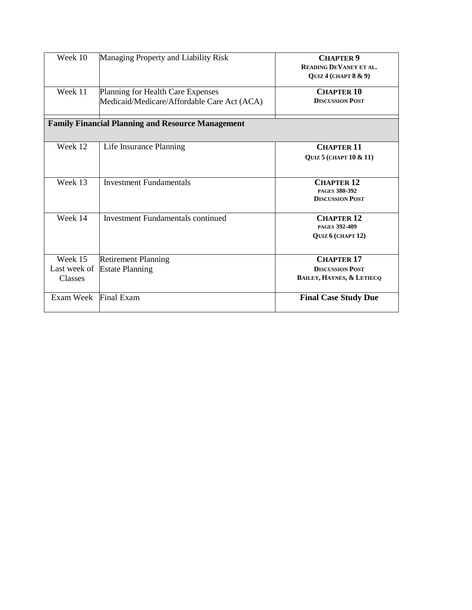| Week 10                            | Managing Property and Liability Risk                                             | <b>CHAPTER 9</b><br><b>READING DEVANEY ET AL.</b><br>OUIZ 4 (CHAPT $8 \& 9$ )       |
|------------------------------------|----------------------------------------------------------------------------------|-------------------------------------------------------------------------------------|
| Week 11                            | Planning for Health Care Expenses<br>Medicaid/Medicare/Affordable Care Act (ACA) | <b>CHAPTER 10</b><br><b>DISCUSSION POST</b>                                         |
|                                    | <b>Family Financial Planning and Resource Management</b>                         |                                                                                     |
| Week 12                            | Life Insurance Planning                                                          | <b>CHAPTER 11</b><br><b>QUIZ 5 (CHAPT 10 &amp; 11)</b>                              |
| Week 13                            | <b>Investment Fundamentals</b>                                                   | <b>CHAPTER 12</b><br><b>PAGES 380-392</b><br><b>DISCUSSION POST</b>                 |
| Week 14                            | <b>Investment Fundamentals continued</b>                                         | <b>CHAPTER 12</b><br>PAGES 392-409<br>QUIZ 6 (CHAPT 12)                             |
| Week 15<br>Last week of<br>Classes | <b>Retirement Planning</b><br><b>Estate Planning</b>                             | <b>CHAPTER 17</b><br><b>DISCUSSION POST</b><br><b>BAILEY, HAYNES, &amp; LETIECQ</b> |
| Exam Week                          | Final Exam                                                                       | <b>Final Case Study Due</b>                                                         |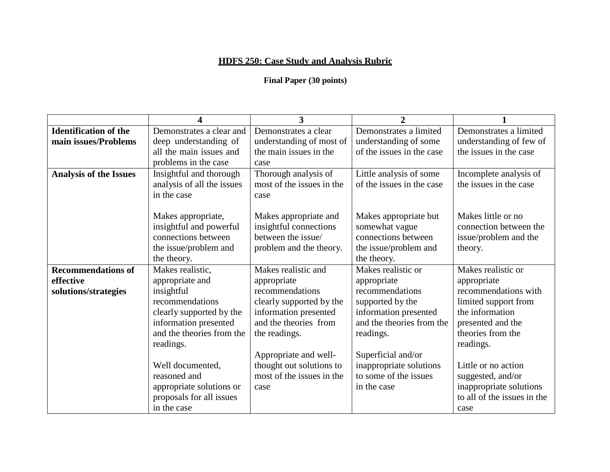# **HDFS 250: Case Study and Analysis Rubric**

# **Final Paper (30 points)**

|                               | Δ                          | 3                         | $\mathbf{2}$              |                             |
|-------------------------------|----------------------------|---------------------------|---------------------------|-----------------------------|
| <b>Identification of the</b>  | Demonstrates a clear and   | Demonstrates a clear      | Demonstrates a limited    | Demonstrates a limited      |
| main issues/Problems          | deep understanding of      | understanding of most of  | understanding of some     | understanding of few of     |
|                               | all the main issues and    | the main issues in the    | of the issues in the case | the issues in the case      |
|                               | problems in the case       | case                      |                           |                             |
| <b>Analysis of the Issues</b> | Insightful and thorough    | Thorough analysis of      | Little analysis of some   | Incomplete analysis of      |
|                               | analysis of all the issues | most of the issues in the | of the issues in the case | the issues in the case      |
|                               | in the case                | case                      |                           |                             |
|                               |                            |                           |                           |                             |
|                               | Makes appropriate,         | Makes appropriate and     | Makes appropriate but     | Makes little or no          |
|                               | insightful and powerful    | insightful connections    | somewhat vague            | connection between the      |
|                               | connections between        | between the issue/        | connections between       | issue/problem and the       |
|                               | the issue/problem and      | problem and the theory.   | the issue/problem and     | theory.                     |
|                               | the theory.                |                           | the theory.               |                             |
| <b>Recommendations of</b>     | Makes realistic,           | Makes realistic and       | Makes realistic or        | Makes realistic or          |
| effective                     | appropriate and            | appropriate               | appropriate               | appropriate                 |
| solutions/strategies          | insightful                 | recommendations           | recommendations           | recommendations with        |
|                               | recommendations            | clearly supported by the  | supported by the          | limited support from        |
|                               | clearly supported by the   | information presented     | information presented     | the information             |
|                               | information presented      | and the theories from     | and the theories from the | presented and the           |
|                               | and the theories from the  | the readings.             | readings.                 | theories from the           |
|                               | readings.                  |                           |                           | readings.                   |
|                               |                            | Appropriate and well-     | Superficial and/or        |                             |
|                               | Well documented,           | thought out solutions to  | inappropriate solutions   | Little or no action         |
|                               | reasoned and               | most of the issues in the | to some of the issues     | suggested, and/or           |
|                               | appropriate solutions or   | case                      | in the case               | inappropriate solutions     |
|                               | proposals for all issues   |                           |                           | to all of the issues in the |
|                               | in the case                |                           |                           | case                        |